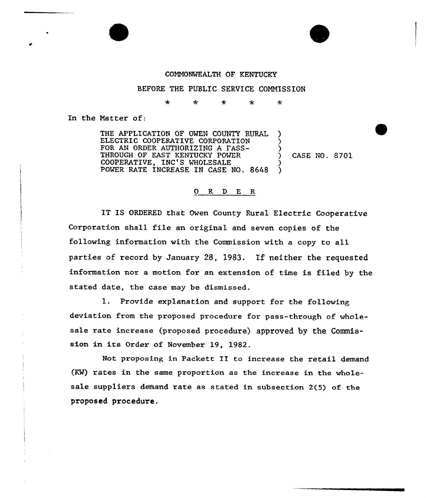## COMMONWEALTH OF KENTUCKY

BEFORE THE PUBLIC SERVICE CONNISSION

4  $\star$ 4  $\star$  $\star$ 

In the Matter of:

THE APPLICATION OF OWEN COUNTY RURAL ELECTRIC COOPERATIVE CORPORATION FOR AN ORDER AUTHORIZING A FASS-THROUGH OF EAST KENTUCKY POWER COOPERATIVE, INC'S WHOLESALE POWER RATE INCREASE IN CASE NO. 8648 ) <u>ز</u> (<br>? ) )

) CASE NO. 8701

## 0 R <sup>D</sup> E R

IT IS ORDERED that Owen County Rural Electric Cooperative Corporation shall file an original and seven copies of the following information with the Commission with a copy to all parties of record by January 28, 1983. If neither the requested information nor a motion for an extension of time is filed by the stated date, the case may be dismissed.

1. Provide explanation and support for the following deviation from the proposed procedure for pass-through of wholesale rate increase (proposed procedure) approved by the Commission in its Order of November 19, 1982.

Not pxoposing in Packett II to increase the retail demand (KW) rates in the same proportion as the increase in the wholesale suppliers demand rate as stated in subsection 2(5) of the proposed procedure.